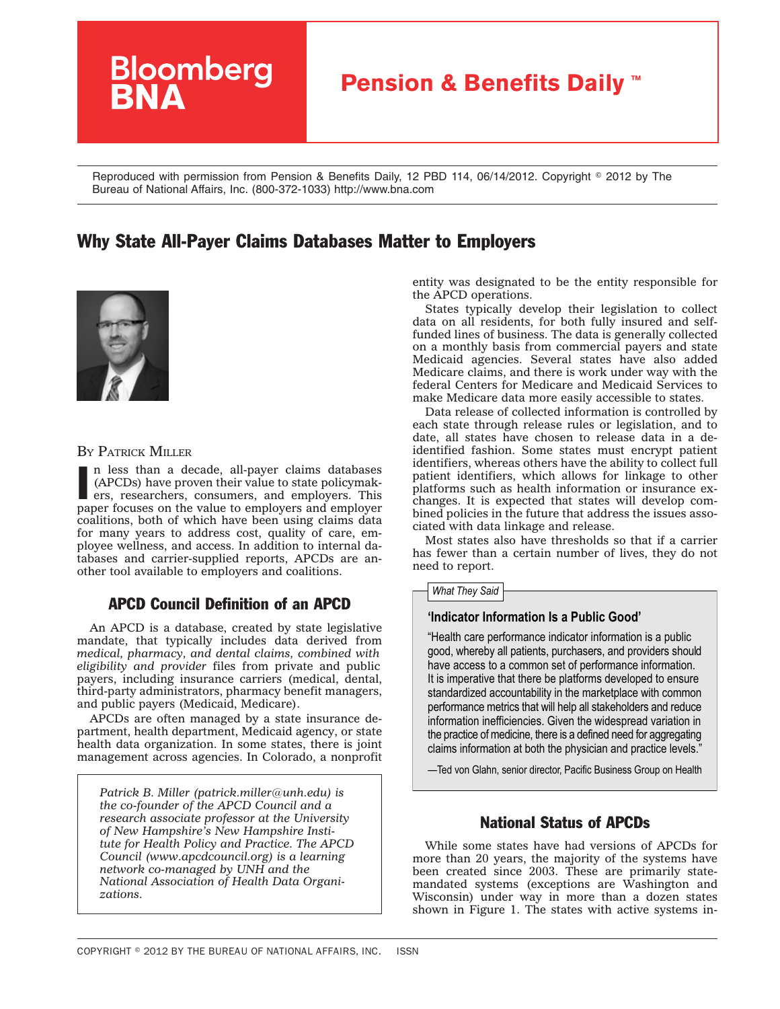# **Bloomberg Pension & Benefits Daily™**

Reproduced with permission from Pension & Benefits Daily, 12 PBD 114, 06/14/2012. Copyright © 2012 by The Bureau of National Affairs, Inc. (800-372-1033) http://www.bna.com

## Why State All-Payer Claims Databases Matter to Employers



#### BY PATRICK MILLER

In less than a decade, all-payer claims databases (APCDs) have proven their value to state policymakers, researchers, consumers, and employers. This paper focuses on the value to employers and employer n less than a decade, all-payer claims databases (APCDs) have proven their value to state policymakers, researchers, consumers, and employers. This coalitions, both of which have been using claims data for many years to address cost, quality of care, employee wellness, and access. In addition to internal databases and carrier-supplied reports, APCDs are another tool available to employers and coalitions.

## APCD Council Definition of an APCD

An APCD is a database, created by state legislative mandate, that typically includes data derived from *medical, pharmacy, and dental claims, combined with eligibility and provider* files from private and public payers, including insurance carriers (medical, dental, third-party administrators, pharmacy benefit managers, and public payers (Medicaid, Medicare).

APCDs are often managed by a state insurance department, health department, Medicaid agency, or state health data organization. In some states, there is joint management across agencies. In Colorado, a nonprofit

*Patrick B. Miller ([patrick.miller@unh.edu\)](mailto:patrick.miller@unh.edu) is the co-founder of the APCD Council and a research associate professor at the University of New Hampshire's New Hampshire Institute for Health Policy and Practice. The APCD Council [\(www.apcdcouncil.org\)](http://www.apcdcouncil.org) is a learning network co-managed by UNH and the National Association of Health Data Organizations.*

entity was designated to be the entity responsible for the APCD operations.

States typically develop their legislation to collect data on all residents, for both fully insured and selffunded lines of business. The data is generally collected on a monthly basis from commercial payers and state Medicaid agencies. Several states have also added Medicare claims, and there is work under way with the federal Centers for Medicare and Medicaid Services to make Medicare data more easily accessible to states.

Data release of collected information is controlled by each state through release rules or legislation, and to date, all states have chosen to release data in a deidentified fashion. Some states must encrypt patient identifiers, whereas others have the ability to collect full patient identifiers, which allows for linkage to other platforms such as health information or insurance exchanges. It is expected that states will develop combined policies in the future that address the issues associated with data linkage and release.

Most states also have thresholds so that if a carrier has fewer than a certain number of lives, they do not need to report.

#### *What They Said*

#### **'Indicator Information Is a Public Good'**

"Health care performance indicator information is a public good, whereby all patients, purchasers, and providers should have access to a common set of performance information. It is imperative that there be platforms developed to ensure standardized accountability in the marketplace with common performance metrics that will help all stakeholders and reduce information inefficiencies. Given the widespread variation in the practice of medicine, there is a defined need for aggregating claims information at both the physician and practice levels."

—Ted von Glahn, senior director, Pacific Business Group on Health

## National Status of APCDs

While some states have had versions of APCDs for more than 20 years, the majority of the systems have been created since 2003. These are primarily statemandated systems (exceptions are Washington and Wisconsin) under way in more than a dozen states shown in Figure 1. The states with active systems in-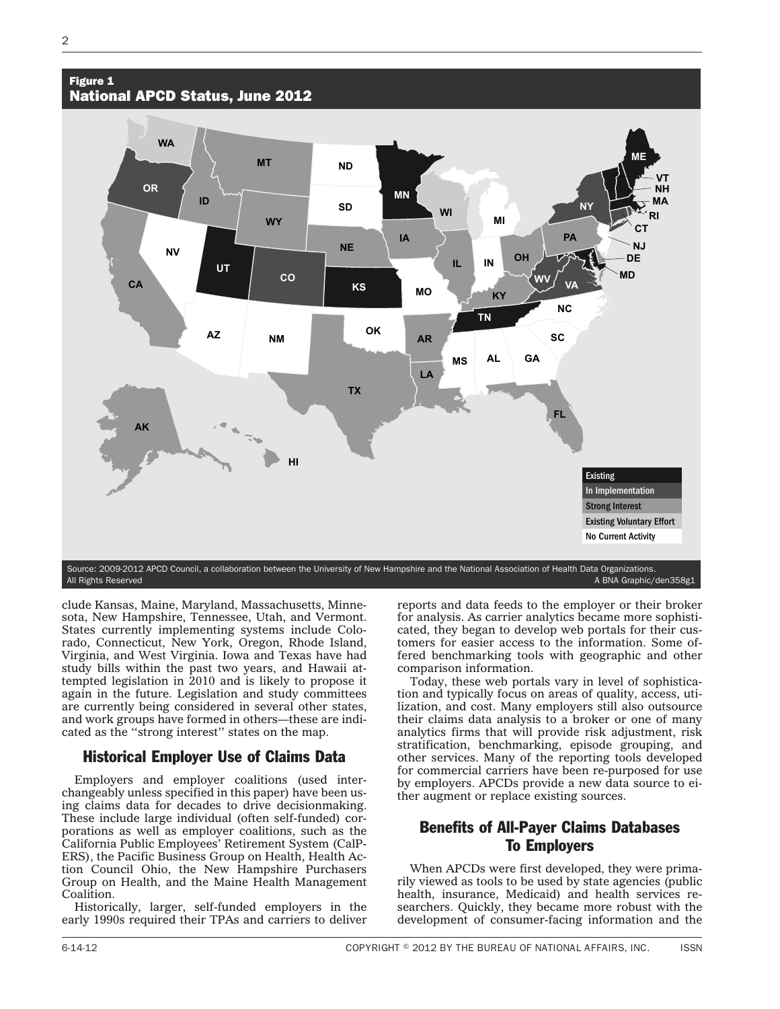#### Figure 1 National APCD Status, June 2012



clude Kansas, Maine, Maryland, Massachusetts, Minnesota, New Hampshire, Tennessee, Utah, and Vermont. States currently implementing systems include Colorado, Connecticut, New York, Oregon, Rhode Island, Virginia, and West Virginia. Iowa and Texas have had study bills within the past two years, and Hawaii attempted legislation in 2010 and is likely to propose it again in the future. Legislation and study committees are currently being considered in several other states, and work groups have formed in others—these are indicated as the ''strong interest'' states on the map.

## Historical Employer Use of Claims Data

Employers and employer coalitions (used interchangeably unless specified in this paper) have been using claims data for decades to drive decisionmaking. These include large individual (often self-funded) corporations as well as employer coalitions, such as the California Public Employees' Retirement System (CalP-ERS), the Pacific Business Group on Health, Health Action Council Ohio, the New Hampshire Purchasers Group on Health, and the Maine Health Management Coalition.

Historically, larger, self-funded employers in the early 1990s required their TPAs and carriers to deliver reports and data feeds to the employer or their broker for analysis. As carrier analytics became more sophisticated, they began to develop web portals for their customers for easier access to the information. Some offered benchmarking tools with geographic and other comparison information.

Today, these web portals vary in level of sophistication and typically focus on areas of quality, access, utilization, and cost. Many employers still also outsource their claims data analysis to a broker or one of many analytics firms that will provide risk adjustment, risk stratification, benchmarking, episode grouping, and other services. Many of the reporting tools developed for commercial carriers have been re-purposed for use by employers. APCDs provide a new data source to either augment or replace existing sources.

## Benefits of All-Payer Claims Databases To Employers

When APCDs were first developed, they were primarily viewed as tools to be used by state agencies (public health, insurance, Medicaid) and health services researchers. Quickly, they became more robust with the development of consumer-facing information and the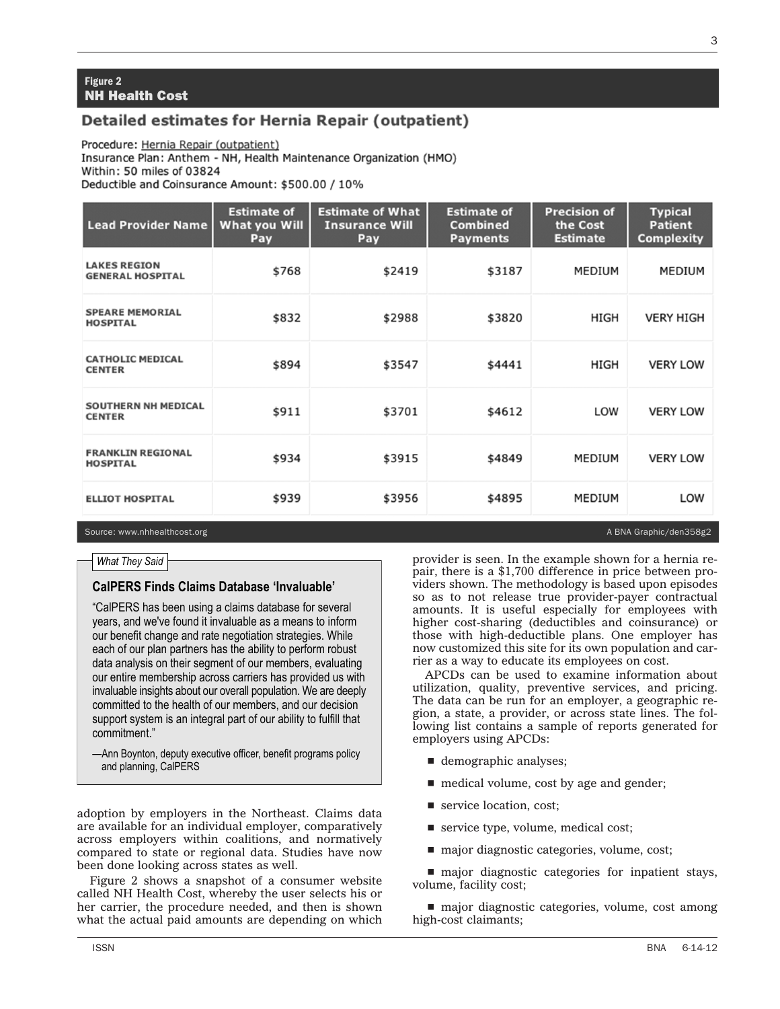#### **Figure 2** NH Health Cost

## **Detailed estimates for Hernia Repair (outpatient)**

Procedure: Hernia Repair (outpatient) Insurance Plan: Anthem - NH, Health Maintenance Organization (HMO) Within: 50 miles of 03824 Deductible and Coinsurance Amount: \$500.00 / 10%

| <b>Lead Provider Name</b>                      | <b>Estimate of</b><br>What you Will<br>Pay | <b>Estimate of What</b><br><b>Insurance Will</b><br>Pay | <b>Estimate of</b><br><b>Combined</b><br><b>Payments</b> | <b>Precision of</b><br>the Cost<br><b>Estimate</b> | <b>Typical</b><br><b>Patient</b><br><b>Complexity</b> |
|------------------------------------------------|--------------------------------------------|---------------------------------------------------------|----------------------------------------------------------|----------------------------------------------------|-------------------------------------------------------|
| <b>LAKES REGION</b><br><b>GENERAL HOSPITAL</b> | \$768                                      | \$2419                                                  | \$3187                                                   | MEDIUM                                             | MEDIUM                                                |
| <b>SPEARE MEMORIAL</b><br><b>HOSPITAL</b>      | \$832                                      | \$2988                                                  | \$3820                                                   | HIGH                                               | <b>VERY HIGH</b>                                      |
| <b>CATHOLIC MEDICAL</b><br><b>CENTER</b>       | \$894                                      | \$3547                                                  | \$4441                                                   | HIGH                                               | <b>VERY LOW</b>                                       |
| <b>SOUTHERN NH MEDICAL</b><br><b>CENTER</b>    | \$911                                      | \$3701                                                  | \$4612                                                   | LOW                                                | <b>VERY LOW</b>                                       |
| <b>FRANKLIN REGIONAL</b><br><b>HOSPITAL</b>    | \$934                                      | \$3915                                                  | \$4849                                                   | MEDIUM                                             | <b>VERY LOW</b>                                       |
| <b>ELLIOT HOSPITAL</b>                         | \$939                                      | \$3956                                                  | \$4895                                                   | MEDIUM                                             | LOW                                                   |

Source: www.nhhealthcost.org A BNA Graphic/den358g2

#### *What They Said*

#### **CalPERS Finds Claims Database 'Invaluable'**

"CalPERS has been using a claims database for several years, and we've found it invaluable as a means to inform our benefit change and rate negotiation strategies. While each of our plan partners has the ability to perform robust data analysis on their segment of our members, evaluating our entire membership across carriers has provided us with invaluable insights about our overall population. We are deeply committed to the health of our members, and our decision support system is an integral part of our ability to fulfill that commitment."

—Ann Boynton, deputy executive officer, benefit programs policy and planning, CalPERS

adoption by employers in the Northeast. Claims data are available for an individual employer, comparatively across employers within coalitions, and normatively compared to state or regional data. Studies have now been done looking across states as well.

Figure 2 shows a snapshot of a consumer website called NH Health Cost, whereby the user selects his or her carrier, the procedure needed, and then is shown what the actual paid amounts are depending on which

provider is seen. In the example shown for a hernia repair, there is a \$1,700 difference in price between providers shown. The methodology is based upon episodes so as to not release true provider-payer contractual amounts. It is useful especially for employees with higher cost-sharing (deductibles and coinsurance) or those with high-deductible plans. One employer has now customized this site for its own population and carrier as a way to educate its employees on cost.

APCDs can be used to examine information about utilization, quality, preventive services, and pricing. The data can be run for an employer, a geographic region, a state, a provider, or across state lines. The following list contains a sample of reports generated for employers using APCDs:

- $\blacksquare$  demographic analyses;
- $\blacksquare$  medical volume, cost by age and gender;
- $\blacksquare$  service location, cost;
- service type, volume, medical cost;
- $\blacksquare$  major diagnostic categories, volume, cost;

 $\blacksquare$  major diagnostic categories for inpatient stays, volume, facility cost;

 $\blacksquare$  major diagnostic categories, volume, cost among high-cost claimants;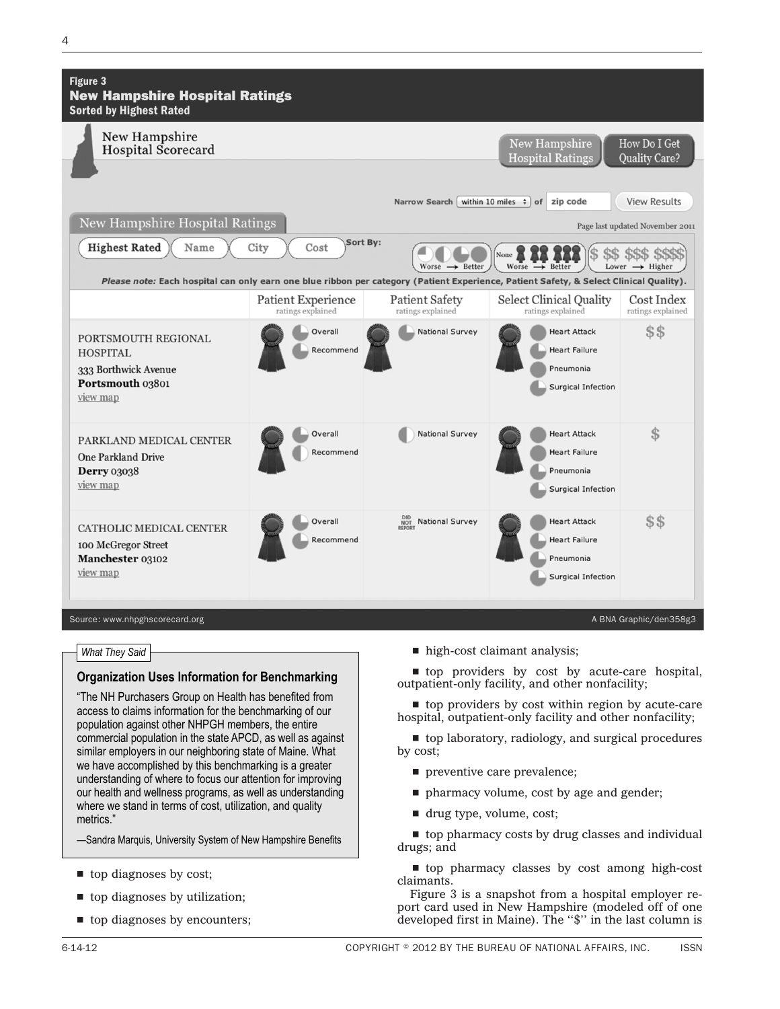| Figure 3<br><b>New Hampshire Hospital Ratings</b><br><b>Sorted by Highest Rated</b>                                                    |                                         |                                            |                                                                                       |                                               |
|----------------------------------------------------------------------------------------------------------------------------------------|-----------------------------------------|--------------------------------------------|---------------------------------------------------------------------------------------|-----------------------------------------------|
| New Hampshire<br>Hospital Scorecard                                                                                                    |                                         |                                            | New Hampshire<br><b>Hospital Ratings</b>                                              | How Do I Get<br>Quality Care?                 |
|                                                                                                                                        |                                         | Narrow Search                              | within 10 miles $\div$ of<br>zip code                                                 | <b>View Results</b>                           |
| New Hampshire Hospital Ratings                                                                                                         |                                         |                                            |                                                                                       | Page last updated November 2011               |
| <b>Highest Rated</b><br>Name                                                                                                           | Sort By:<br>City<br>Cost                | Worse $\rightarrow$ Better                 | None<br>Worse<br>$\rightarrow$ Better                                                 | \$\$\$ \$\$\$\$<br>Lower $\rightarrow$ Higher |
| Please note: Each hospital can only earn one blue ribbon per category (Patient Experience, Patient Safety, & Select Clinical Quality). |                                         |                                            |                                                                                       |                                               |
|                                                                                                                                        | Patient Experience<br>ratings explained | <b>Patient Safety</b><br>ratings explained | Select Clinical Quality<br>ratings explained                                          | Cost Index<br>ratings explained               |
| PORTSMOUTH REGIONAL<br><b>HOSPITAL</b><br>333 Borthwick Avenue<br>Portsmouth 03801<br>view map                                         | Overall<br>Recommend                    | National Survey                            | <b>Heart Attack</b><br><b>Heart Failure</b><br>Pneumonia<br><b>Surgical Infection</b> | \$\$                                          |
| PARKLAND MEDICAL CENTER<br><b>One Parkland Drive</b><br><b>Derry</b> 03038<br>view map                                                 | Overall<br>Recommend                    | National Survey                            | <b>Heart Attack</b><br><b>Heart Failure</b><br>Pneumonia<br>Surgical Infection        | \$                                            |
| CATHOLIC MEDICAL CENTER<br>100 McGregor Street<br>Manchester 03102<br>view map                                                         | Overall<br>Recommend                    | DID National Survey<br>REPORT              | <b>Heart Attack</b><br><b>Heart Failure</b><br>Pneumonia<br>Surgical Infection        | $$\$$                                         |
| Source: www.nhpghscorecard.org                                                                                                         |                                         |                                            |                                                                                       | A BNA Graphic/den358g3                        |

#### *What They Said*

#### **Organization Uses Information for Benchmarking**

"The NH Purchasers Group on Health has benefited from access to claims information for the benchmarking of our population against other NHPGH members, the entire commercial population in the state APCD, as well as against similar employers in our neighboring state of Maine. What we have accomplished by this benchmarking is a greater understanding of where to focus our attention for improving our health and wellness programs, as well as understanding where we stand in terms of cost, utilization, and quality metrics."

—Sandra Marquis, University System of New Hampshire Benefits

- $\blacksquare$  top diagnoses by cost;
- $\blacksquare$  top diagnoses by utilization;
- $\blacksquare$  top diagnoses by encounters;

 $\blacksquare$  high-cost claimant analysis;

 $\blacksquare$  top providers by cost by acute-care hospital, outpatient-only facility, and other nonfacility;

 $\blacksquare$  top providers by cost within region by acute-care hospital, outpatient-only facility and other nonfacility;

 $\blacksquare$  top laboratory, radiology, and surgical procedures by cost;

- $\blacksquare$  preventive care prevalence;
- $\blacksquare$  pharmacy volume, cost by age and gender;
- $\blacksquare$  drug type, volume, cost;

 $\blacksquare$  top pharmacy costs by drug classes and individual drugs; and

 $\blacksquare$  top pharmacy classes by cost among high-cost claimants.

Figure 3 is a snapshot from a hospital employer report card used in New Hampshire (modeled off of one developed first in Maine). The ''\$'' in the last column is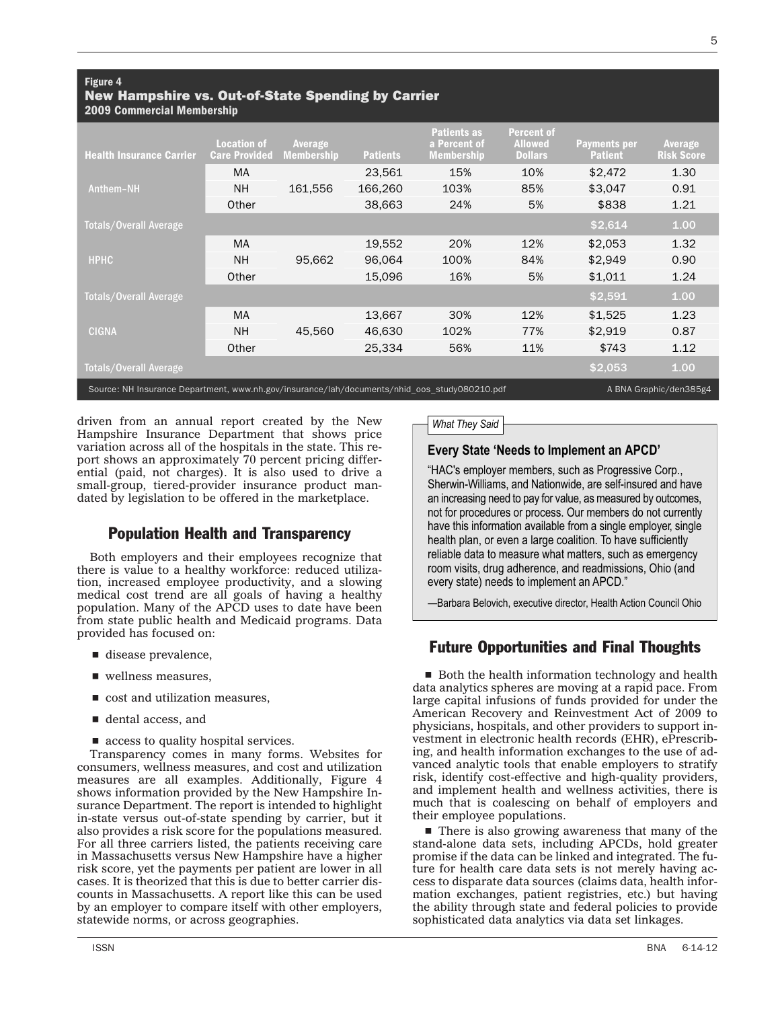| <b>Health Insurance Carrier</b>                                                                                        | <b>Location of</b><br><b>Care Provided</b> | Average<br><b>Membership</b> | <b>Patients</b> | <b>Patients as</b><br>a Percent of<br><b>Membership</b> | <b>Percent of</b><br><b>Allowed</b><br><b>Dollars</b> | <b>Payments per</b><br><b>Patient</b> | Average<br><b>Risk Score</b> |
|------------------------------------------------------------------------------------------------------------------------|--------------------------------------------|------------------------------|-----------------|---------------------------------------------------------|-------------------------------------------------------|---------------------------------------|------------------------------|
|                                                                                                                        | <b>MA</b>                                  |                              | 23,561          | 15%                                                     | 10%                                                   | \$2,472                               | 1.30                         |
| Anthem-NH                                                                                                              | <b>NH</b>                                  | 161.556                      | 166.260         | 103%                                                    | 85%                                                   | \$3,047                               | 0.91                         |
|                                                                                                                        | Other                                      |                              | 38,663          | 24%                                                     | 5%                                                    | \$838                                 | 1.21                         |
| Totals/Overall Average                                                                                                 |                                            |                              |                 |                                                         |                                                       | \$2,614                               | 1.00                         |
| <b>HPHC</b>                                                                                                            | <b>MA</b>                                  | 95,662                       | 19,552          | 20%                                                     | 12%                                                   | \$2.053                               | 1.32                         |
|                                                                                                                        | <b>NH</b>                                  |                              | 96.064          | 100%                                                    | 84%                                                   | \$2.949                               | 0.90                         |
|                                                                                                                        | Other                                      |                              | 15,096          | 16%                                                     | 5%                                                    | \$1.011                               | 1.24                         |
| Totals/Overall Average                                                                                                 |                                            |                              |                 |                                                         |                                                       | \$2,591                               | 1.00                         |
| <b>CIGNA</b>                                                                                                           | <b>MA</b>                                  |                              | 13,667          | 30%                                                     | 12%                                                   | \$1.525                               | 1.23                         |
|                                                                                                                        | <b>NH</b>                                  | 45.560                       | 46.630          | 102%                                                    | 77%                                                   | \$2.919                               | 0.87                         |
|                                                                                                                        | Other                                      |                              | 25.334          | 56%                                                     | 11%                                                   | \$743                                 | 1.12                         |
| <b>Totals/Overall Average</b>                                                                                          |                                            |                              |                 |                                                         |                                                       | \$2,053                               | 1.00                         |
| Source: NH Insurance Department, www.nh.gov/insurance/lah/documents/nhid_oos_study080210.pdf<br>A BNA Graphic/den385g4 |                                            |                              |                 |                                                         |                                                       |                                       |                              |

driven from an annual report created by the New Hampshire Insurance Department that shows price variation across all of the hospitals in the state. This report shows an approximately 70 percent pricing differential (paid, not charges). It is also used to drive a small-group, tiered-provider insurance product mandated by legislation to be offered in the marketplace.

## Population Health and Transparency

Both employers and their employees recognize that there is value to a healthy workforce: reduced utilization, increased employee productivity, and a slowing medical cost trend are all goals of having a healthy population. Many of the APCD uses to date have been from state public health and Medicaid programs. Data provided has focused on:

- $\blacksquare$  disease prevalence,
- $\blacksquare$  wellness measures,
- $\blacksquare$  cost and utilization measures,
- $\blacksquare$  dental access, and
- $\blacksquare$  access to quality hospital services.

Transparency comes in many forms. Websites for consumers, wellness measures, and cost and utilization measures are all examples. Additionally, Figure 4 shows information provided by the New Hampshire Insurance Department. The report is intended to highlight in-state versus out-of-state spending by carrier, but it also provides a risk score for the populations measured. For all three carriers listed, the patients receiving care in Massachusetts versus New Hampshire have a higher risk score, yet the payments per patient are lower in all cases. It is theorized that this is due to better carrier discounts in Massachusetts. A report like this can be used by an employer to compare itself with other employers, statewide norms, or across geographies.

#### *What They Said*

#### **Every State 'Needs to Implement an APCD'**

"HAC's employer members, such as Progressive Corp., Sherwin-Williams, and Nationwide, are self-insured and have an increasing need to pay for value, as measured by outcomes, not for procedures or process. Our members do not currently have this information available from a single employer, single health plan, or even a large coalition. To have sufficiently reliable data to measure what matters, such as emergency room visits, drug adherence, and readmissions, Ohio (and every state) needs to implement an APCD."

—Barbara Belovich, executive director, Health Action Council Ohio

## Future Opportunities and Final Thoughts

 $\blacksquare$  Both the health information technology and health data analytics spheres are moving at a rapid pace. From large capital infusions of funds provided for under the American Recovery and Reinvestment Act of 2009 to physicians, hospitals, and other providers to support investment in electronic health records (EHR), ePrescribing, and health information exchanges to the use of advanced analytic tools that enable employers to stratify risk, identify cost-effective and high-quality providers, and implement health and wellness activities, there is much that is coalescing on behalf of employers and their employee populations.

There is also growing awareness that many of the stand-alone data sets, including APCDs, hold greater promise if the data can be linked and integrated. The future for health care data sets is not merely having access to disparate data sources (claims data, health information exchanges, patient registries, etc.) but having the ability through state and federal policies to provide sophisticated data analytics via data set linkages.